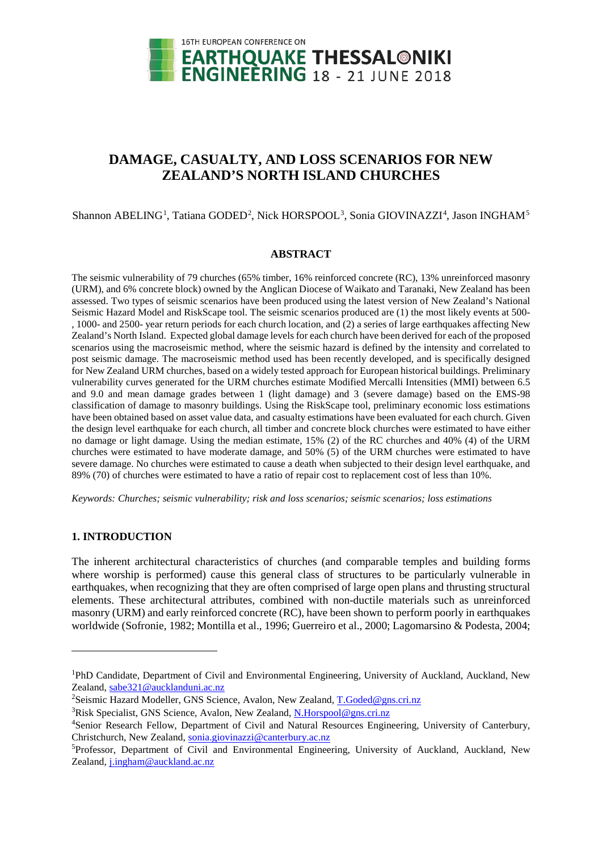

# **DAMAGE, CASUALTY, AND LOSS SCENARIOS FOR NEW ZEALAND'S NORTH ISLAND CHURCHES**

Shannon ABELING<sup>[1](#page-0-0)</sup>, Tatiana GODED<sup>[2](#page-0-1)</sup>, Nick HORSPOOL<sup>[3](#page-0-2)</sup>, Sonia GIOVINAZZI<sup>[4](#page-0-3)</sup>, Jason INGHAM<sup>[5](#page-0-4)</sup>

#### **ABSTRACT**

The seismic vulnerability of 79 churches (65% timber, 16% reinforced concrete (RC), 13% unreinforced masonry (URM), and 6% concrete block) owned by the Anglican Diocese of Waikato and Taranaki, New Zealand has been assessed. Two types of seismic scenarios have been produced using the latest version of New Zealand's National Seismic Hazard Model and RiskScape tool. The seismic scenarios produced are (1) the most likely events at 500- , 1000- and 2500- year return periods for each church location, and (2) a series of large earthquakes affecting New Zealand's North Island. Expected global damage levels for each church have been derived for each of the proposed scenarios using the macroseismic method, where the seismic hazard is defined by the intensity and correlated to post seismic damage. The macroseismic method used has been recently developed, and is specifically designed for New Zealand URM churches, based on a widely tested approach for European historical buildings. Preliminary vulnerability curves generated for the URM churches estimate Modified Mercalli Intensities (MMI) between 6.5 and 9.0 and mean damage grades between 1 (light damage) and 3 (severe damage) based on the EMS-98 classification of damage to masonry buildings. Using the RiskScape tool, preliminary economic loss estimations have been obtained based on asset value data, and casualty estimations have been evaluated for each church. Given the design level earthquake for each church, all timber and concrete block churches were estimated to have either no damage or light damage. Using the median estimate, 15% (2) of the RC churches and 40% (4) of the URM churches were estimated to have moderate damage, and 50% (5) of the URM churches were estimated to have severe damage. No churches were estimated to cause a death when subjected to their design level earthquake, and 89% (70) of churches were estimated to have a ratio of repair cost to replacement cost of less than 10%.

*Keywords: Churches; seismic vulnerability; risk and loss scenarios; seismic scenarios; loss estimations*

# **1. INTRODUCTION**

-

The inherent architectural characteristics of churches (and comparable temples and building forms where worship is performed) cause this general class of structures to be particularly vulnerable in earthquakes, when recognizing that they are often comprised of large open plans and thrusting structural elements. These architectural attributes, combined with non-ductile materials such as unreinforced masonry (URM) and early reinforced concrete (RC), have been shown to perform poorly in earthquakes worldwide (Sofronie, 1982; Montilla et al., 1996; Guerreiro et al., 2000; Lagomarsino & Podesta, 2004;

<span id="page-0-0"></span><sup>&</sup>lt;sup>1</sup>PhD Candidate, Department of Civil and Environmental Engineering, University of Auckland, Auckland, New Zealand, [sabe321@aucklanduni.ac.nz](mailto:sabe321@aucklanduni.ac.nz)

<span id="page-0-1"></span><sup>&</sup>lt;sup>2</sup>Seismic Hazard Modeller, GNS Science, Avalon, New Zealand, [T.Goded@gns.cri.nz](mailto:T.Goded@gns.cri.nz)

<span id="page-0-2"></span><sup>&</sup>lt;sup>3</sup>Risk Specialist, GNS Science, Avalon, New Zealand[, N.Horspool@gns.cri.nz](mailto:N.Horspool@gns.cri.nz)

<span id="page-0-3"></span><sup>&</sup>lt;sup>4</sup>Senior Research Fellow, Department of Civil and Natural Resources Engineering, University of Canterbury, Christchurch, New Zealand, [sonia.giovinazzi@canterbury.ac.nz](mailto:sonia.giovinazzi@canterbury.ac.nz)

<span id="page-0-4"></span><sup>&</sup>lt;sup>5</sup>Professor, Department of Civil and Environmental Engineering, University of Auckland, Auckland, New Zealand, [j.ingham@auckland.ac.nz](mailto:j.ingham@auckland.ac.nz)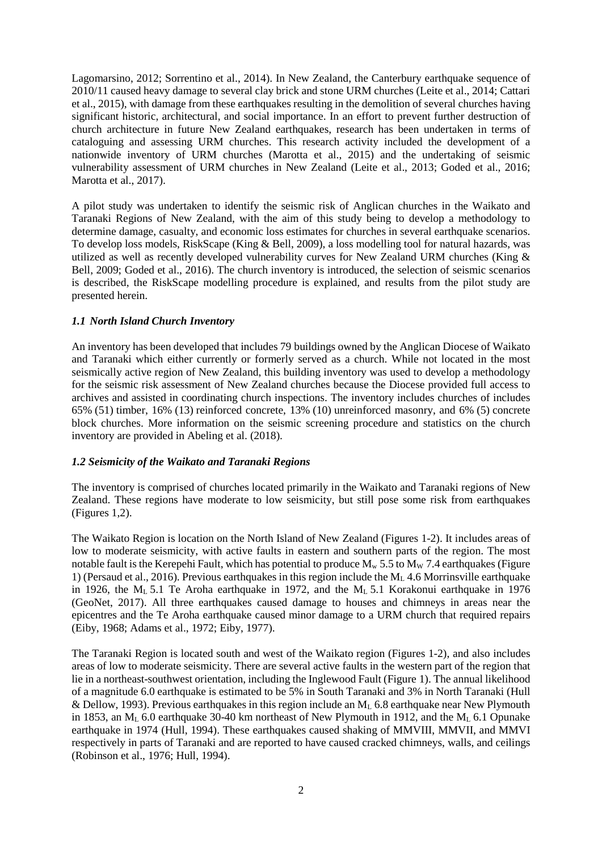Lagomarsino, 2012; Sorrentino et al., 2014). In New Zealand, the Canterbury earthquake sequence of 2010/11 caused heavy damage to several clay brick and stone URM churches (Leite et al., 2014; Cattari et al., 2015), with damage from these earthquakes resulting in the demolition of several churches having significant historic, architectural, and social importance. In an effort to prevent further destruction of church architecture in future New Zealand earthquakes, research has been undertaken in terms of cataloguing and assessing URM churches. This research activity included the development of a nationwide inventory of URM churches (Marotta et al., 2015) and the undertaking of seismic vulnerability assessment of URM churches in New Zealand (Leite et al., 2013; Goded et al., 2016; Marotta et al., 2017).

A pilot study was undertaken to identify the seismic risk of Anglican churches in the Waikato and Taranaki Regions of New Zealand, with the aim of this study being to develop a methodology to determine damage, casualty, and economic loss estimates for churches in several earthquake scenarios. To develop loss models, RiskScape (King & Bell, 2009), a loss modelling tool for natural hazards, was utilized as well as recently developed vulnerability curves for New Zealand URM churches (King & Bell, 2009; Goded et al., 2016). The church inventory is introduced, the selection of seismic scenarios is described, the RiskScape modelling procedure is explained, and results from the pilot study are presented herein.

# *1.1 North Island Church Inventory*

An inventory has been developed that includes 79 buildings owned by the Anglican Diocese of Waikato and Taranaki which either currently or formerly served as a church. While not located in the most seismically active region of New Zealand, this building inventory was used to develop a methodology for the seismic risk assessment of New Zealand churches because the Diocese provided full access to archives and assisted in coordinating church inspections. The inventory includes churches of includes 65% (51) timber, 16% (13) reinforced concrete, 13% (10) unreinforced masonry, and 6% (5) concrete block churches. More information on the seismic screening procedure and statistics on the church inventory are provided in Abeling et al. (2018).

# *1.2 Seismicity of the Waikato and Taranaki Regions*

The inventory is comprised of churches located primarily in the Waikato and Taranaki regions of New Zealand. These regions have moderate to low seismicity, but still pose some risk from earthquakes (Figures 1,2).

The Waikato Region is location on the North Island of New Zealand (Figures 1-2). It includes areas of low to moderate seismicity, with active faults in eastern and southern parts of the region. The most notable fault is the Kerepehi Fault, which has potential to produce  $M_w$  5.5 to  $M_w$  7.4 earthquakes (Figure 1) (Persaud et al., 2016). Previous earthquakes in this region include the  $M_L$  4.6 Morrinsville earthquake in 1926, the M<sub>L</sub> 5.1 Te Aroha earthquake in 1972, and the M<sub>L</sub> 5.1 Korakonui earthquake in 1976 (GeoNet, 2017). All three earthquakes caused damage to houses and chimneys in areas near the epicentres and the Te Aroha earthquake caused minor damage to a URM church that required repairs (Eiby, 1968; Adams et al., 1972; Eiby, 1977).

The Taranaki Region is located south and west of the Waikato region (Figures 1-2), and also includes areas of low to moderate seismicity. There are several active faults in the western part of the region that lie in a northeast-southwest orientation, including the Inglewood Fault (Figure 1). The annual likelihood of a magnitude 6.0 earthquake is estimated to be 5% in South Taranaki and 3% in North Taranaki (Hull & Dellow, 1993). Previous earthquakes in this region include an  $M<sub>L</sub>$  6.8 earthquake near New Plymouth in 1853, an M<sub>L</sub> 6.0 earthquake 30-40 km northeast of New Plymouth in 1912, and the M<sub>L</sub> 6.1 Opunake earthquake in 1974 (Hull, 1994). These earthquakes caused shaking of MMVIII, MMVII, and MMVI respectively in parts of Taranaki and are reported to have caused cracked chimneys, walls, and ceilings (Robinson et al., 1976; Hull, 1994).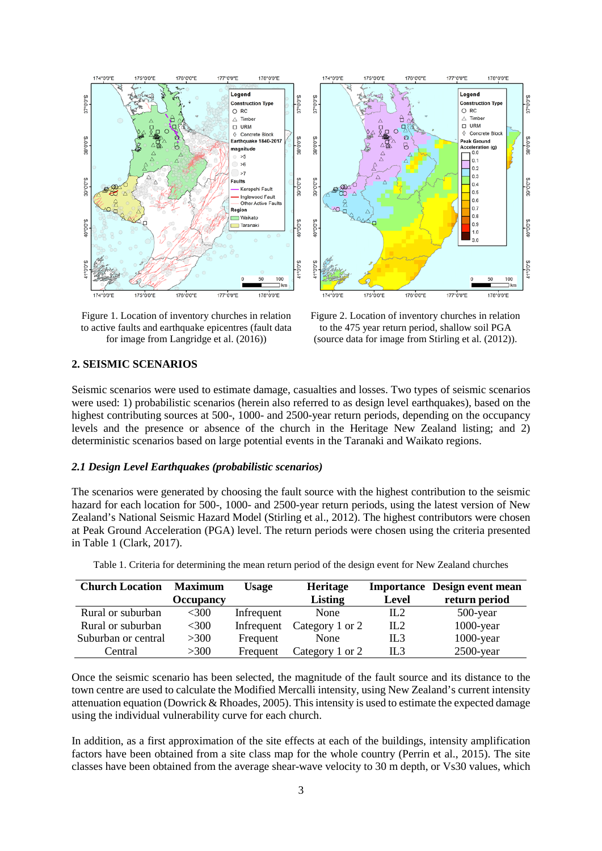

Figure 1. Location of inventory churches in relation to active faults and earthquake epicentres (fault data for image from Langridge et al. (2016))

Figure 2. Location of inventory churches in relation to the 475 year return period, shallow soil PGA (source data for image from Stirling et al. (2012)).

## **2. SEISMIC SCENARIOS**

Seismic scenarios were used to estimate damage, casualties and losses. Two types of seismic scenarios were used: 1) probabilistic scenarios (herein also referred to as design level earthquakes), based on the highest contributing sources at 500-, 1000- and 2500-year return periods, depending on the occupancy levels and the presence or absence of the church in the Heritage New Zealand listing; and 2) deterministic scenarios based on large potential events in the Taranaki and Waikato regions.

#### *2.1 Design Level Earthquakes (probabilistic scenarios)*

The scenarios were generated by choosing the fault source with the highest contribution to the seismic hazard for each location for 500-, 1000- and 2500-year return periods, using the latest version of New Zealand's National Seismic Hazard Model (Stirling et al., 2012). The highest contributors were chosen at Peak Ground Acceleration (PGA) level. The return periods were chosen using the criteria presented in Table 1 (Clark, 2017).

| <b>Church Location</b> | <b>Maximum</b> | Usage      | <b>Heritage</b> |                 | <b>Importance</b> Design event mean |
|------------------------|----------------|------------|-----------------|-----------------|-------------------------------------|
|                        | Occupancy      |            | <b>Listing</b>  | Level           | return period                       |
| Rural or suburban      | <300           | Infrequent | None            | IL2             | $500$ -year                         |
| Rural or suburban      | <300           | Infrequent | Category 1 or 2 | IL2             | $1000$ -year                        |
| Suburban or central    | >300           | Frequent   | None            | IL <sub>3</sub> | $1000$ -year                        |
| Central                | >300           | Frequent   | Category 1 or 2 | IL3             | $2500$ -year                        |

Table 1. Criteria for determining the mean return period of the design event for New Zealand churches

Once the seismic scenario has been selected, the magnitude of the fault source and its distance to the town centre are used to calculate the Modified Mercalli intensity, using New Zealand's current intensity attenuation equation (Dowrick & Rhoades, 2005). This intensity is used to estimate the expected damage using the individual vulnerability curve for each church.

In addition, as a first approximation of the site effects at each of the buildings, intensity amplification factors have been obtained from a site class map for the whole country (Perrin et al., 2015). The site classes have been obtained from the average shear-wave velocity to 30 m depth, or Vs30 values, which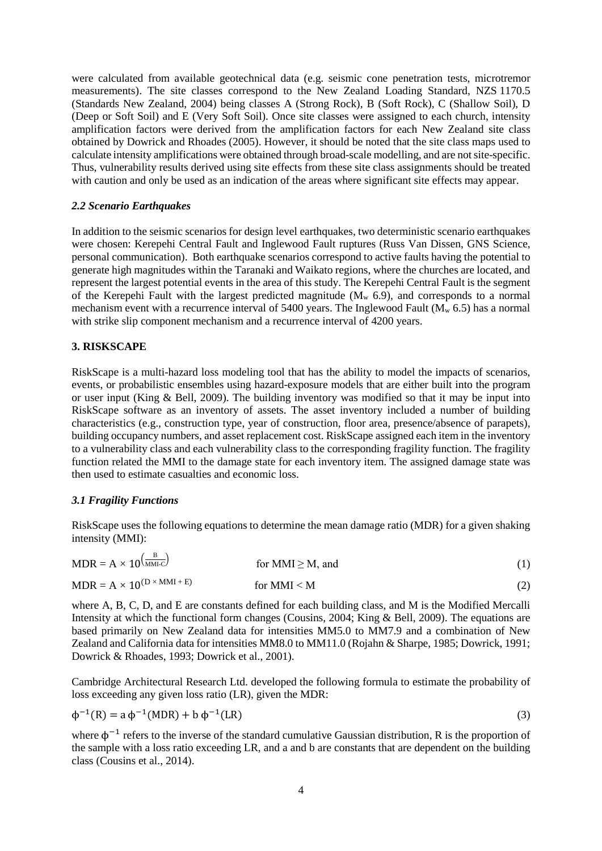were calculated from available geotechnical data (e.g. seismic cone penetration tests, microtremor measurements). The site classes correspond to the New Zealand Loading Standard, NZS 1170.5 (Standards New Zealand, 2004) being classes A (Strong Rock), B (Soft Rock), C (Shallow Soil), D (Deep or Soft Soil) and E (Very Soft Soil). Once site classes were assigned to each church, intensity amplification factors were derived from the amplification factors for each New Zealand site class obtained by Dowrick and Rhoades (2005). However, it should be noted that the site class maps used to calculate intensity amplifications were obtained through broad-scale modelling, and are not site-specific. Thus, vulnerability results derived using site effects from these site class assignments should be treated with caution and only be used as an indication of the areas where significant site effects may appear.

# *2.2 Scenario Earthquakes*

In addition to the seismic scenarios for design level earthquakes, two deterministic scenario earthquakes were chosen: Kerepehi Central Fault and Inglewood Fault ruptures (Russ Van Dissen, GNS Science, personal communication). Both earthquake scenarios correspond to active faults having the potential to generate high magnitudes within the Taranaki and Waikato regions, where the churches are located, and represent the largest potential events in the area of this study. The Kerepehi Central Fault is the segment of the Kerepehi Fault with the largest predicted magnitude  $(M_w 6.9)$ , and corresponds to a normal mechanism event with a recurrence interval of 5400 years. The Inglewood Fault ( $M_w$  6.5) has a normal with strike slip component mechanism and a recurrence interval of 4200 years.

## **3. RISKSCAPE**

RiskScape is a multi-hazard loss modeling tool that has the ability to model the impacts of scenarios, events, or probabilistic ensembles using hazard-exposure models that are either built into the program or user input (King & Bell, 2009). The building inventory was modified so that it may be input into RiskScape software as an inventory of assets. The asset inventory included a number of building characteristics (e.g., construction type, year of construction, floor area, presence/absence of parapets), building occupancy numbers, and asset replacement cost. RiskScape assigned each item in the inventory to a vulnerability class and each vulnerability class to the corresponding fragility function. The fragility function related the MMI to the damage state for each inventory item. The assigned damage state was then used to estimate casualties and economic loss.

#### *3.1 Fragility Functions*

RiskScape uses the following equations to determine the mean damage ratio (MDR) for a given shaking intensity (MMI):

| $MDR = A \times 10^{\frac{B}{MMIC}}$     | for MMI $\geq$ M, and |  |
|------------------------------------------|-----------------------|--|
| $MDR = A \times 10^{(D \times MMI + E)}$ | for MMI $<$ M         |  |

where A, B, C, D, and E are constants defined for each building class, and M is the Modified Mercalli Intensity at which the functional form changes (Cousins, 2004; King & Bell, 2009). The equations are based primarily on New Zealand data for intensities MM5.0 to MM7.9 and a combination of New Zealand and California data for intensities MM8.0 to MM11.0 (Rojahn & Sharpe, 1985; Dowrick, 1991; Dowrick & Rhoades, 1993; Dowrick et al., 2001).

Cambridge Architectural Research Ltd. developed the following formula to estimate the probability of loss exceeding any given loss ratio (LR), given the MDR:

$$
\phi^{-1}(R) = a \phi^{-1}(MDR) + b \phi^{-1}(LR)
$$
\n(3)

where  $\phi^{-1}$  refers to the inverse of the standard cumulative Gaussian distribution, R is the proportion of the sample with a loss ratio exceeding LR, and a and b are constants that are dependent on the building class (Cousins et al., 2014).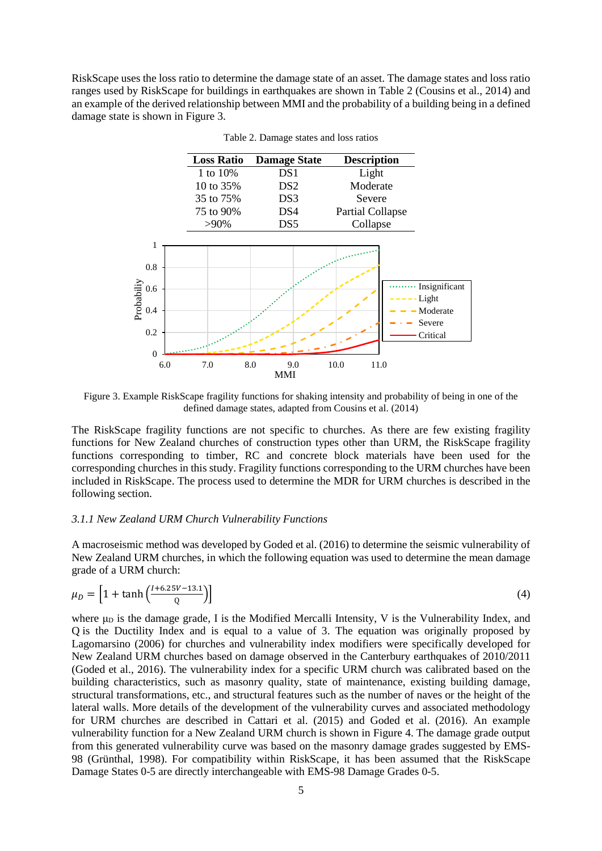RiskScape uses the loss ratio to determine the damage state of an asset. The damage states and loss ratio ranges used by RiskScape for buildings in earthquakes are shown in Table 2 (Cousins et al., 2014) and an example of the derived relationship between MMI and the probability of a building being in a defined damage state is shown in Figure 3.



Table 2. Damage states and loss ratios

Figure 3. Example RiskScape fragility functions for shaking intensity and probability of being in one of the defined damage states, adapted from Cousins et al. (2014)

The RiskScape fragility functions are not specific to churches. As there are few existing fragility functions for New Zealand churches of construction types other than URM, the RiskScape fragility functions corresponding to timber, RC and concrete block materials have been used for the corresponding churches in this study. Fragility functions corresponding to the URM churches have been included in RiskScape. The process used to determine the MDR for URM churches is described in the following section.

#### *3.1.1 New Zealand URM Church Vulnerability Functions*

A macroseismic method was developed by Goded et al. (2016) to determine the seismic vulnerability of New Zealand URM churches, in which the following equation was used to determine the mean damage grade of a URM church:

$$
\mu_D = \left[1 + \tanh\left(\frac{l + 6.25V - 13.1}{Q}\right)\right] \tag{4}
$$

where  $\mu_D$  is the damage grade, I is the Modified Mercalli Intensity, V is the Vulnerability Index, and Q is the Ductility Index and is equal to a value of 3. The equation was originally proposed by Lagomarsino (2006) for churches and vulnerability index modifiers were specifically developed for New Zealand URM churches based on damage observed in the Canterbury earthquakes of 2010/2011 (Goded et al., 2016). The vulnerability index for a specific URM church was calibrated based on the building characteristics, such as masonry quality, state of maintenance, existing building damage, structural transformations, etc., and structural features such as the number of naves or the height of the lateral walls. More details of the development of the vulnerability curves and associated methodology for URM churches are described in Cattari et al. (2015) and Goded et al. (2016). An example vulnerability function for a New Zealand URM church is shown in Figure 4. The damage grade output from this generated vulnerability curve was based on the masonry damage grades suggested by EMS-98 (Grünthal, 1998). For compatibility within RiskScape, it has been assumed that the RiskScape Damage States 0-5 are directly interchangeable with EMS-98 Damage Grades 0-5.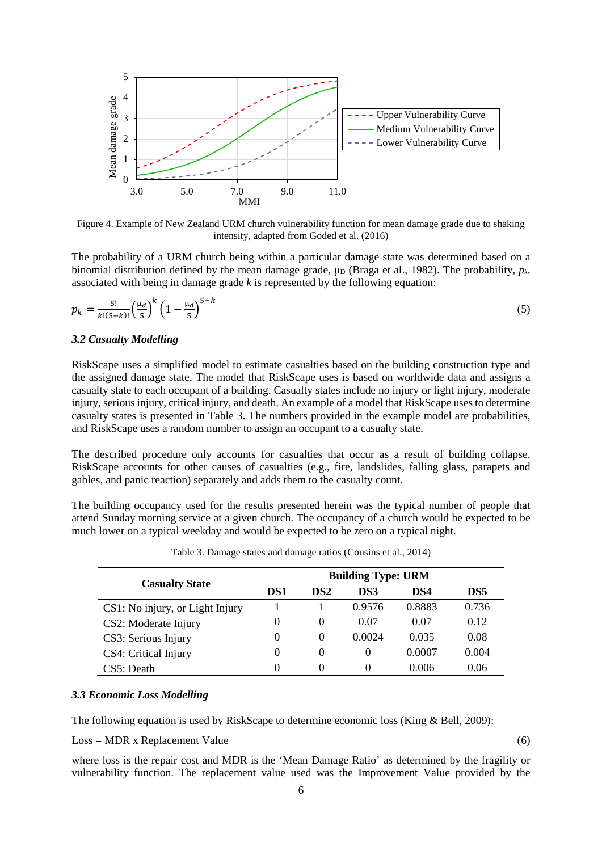

Figure 4. Example of New Zealand URM church vulnerability function for mean damage grade due to shaking intensity, adapted from Goded et al. (2016)

The probability of a URM church being within a particular damage state was determined based on a binomial distribution defined by the mean damage grade,  $\mu_D$  (Braga et al., 1982). The probability,  $p_k$ , associated with being in damage grade *k* is represented by the following equation:

$$
p_k = \frac{5!}{k!(5-k)!} \left(\frac{\mu_d}{5}\right)^k \left(1 - \frac{\mu_d}{5}\right)^{5-k} \tag{5}
$$

#### *3.2 Casualty Modelling*

RiskScape uses a simplified model to estimate casualties based on the building construction type and the assigned damage state. The model that RiskScape uses is based on worldwide data and assigns a casualty state to each occupant of a building. Casualty states include no injury or light injury, moderate injury, serious injury, critical injury, and death. An example of a model that RiskScape uses to determine casualty states is presented in Table 3. The numbers provided in the example model are probabilities, and RiskScape uses a random number to assign an occupant to a casualty state.

The described procedure only accounts for casualties that occur as a result of building collapse. RiskScape accounts for other causes of casualties (e.g., fire, landslides, falling glass, parapets and gables, and panic reaction) separately and adds them to the casualty count.

The building occupancy used for the results presented herein was the typical number of people that attend Sunday morning service at a given church. The occupancy of a church would be expected to be much lower on a typical weekday and would be expected to be zero on a typical night.

|                                 | <b>Building Type: URM</b> |                 |          |        |       |  |
|---------------------------------|---------------------------|-----------------|----------|--------|-------|--|
| <b>Casualty State</b>           | DS1                       | DS <sub>2</sub> | DS3      | DS4    | DS5   |  |
| CS1: No injury, or Light Injury |                           |                 | 0.9576   | 0.8883 | 0.736 |  |
| CS2: Moderate Injury            | $\theta$                  | $\theta$        | 0.07     | 0.07   | 0.12  |  |
| CS3: Serious Injury             | $\Omega$                  | $\Omega$        | 0.0024   | 0.035  | 0.08  |  |
| CS4: Critical Injury            | $\Omega$                  | $\theta$        | $\Omega$ | 0.0007 | 0.004 |  |
| CS5: Death                      | $\Omega$                  | $\Omega$        | $\Omega$ | 0.006  | 0.06  |  |

Table 3. Damage states and damage ratios (Cousins et al., 2014)

# *3.3 Economic Loss Modelling*

The following equation is used by RiskScape to determine economic loss (King & Bell, 2009):

 $Loss = MDR \times Replacement Value$  (6)

where loss is the repair cost and MDR is the 'Mean Damage Ratio' as determined by the fragility or vulnerability function. The replacement value used was the Improvement Value provided by the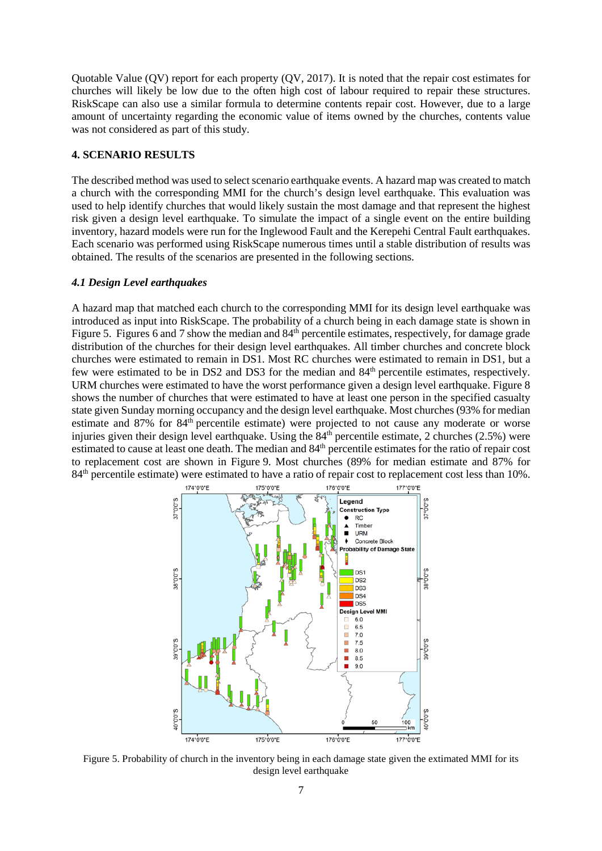Quotable Value (QV) report for each property (QV, 2017). It is noted that the repair cost estimates for churches will likely be low due to the often high cost of labour required to repair these structures. RiskScape can also use a similar formula to determine contents repair cost. However, due to a large amount of uncertainty regarding the economic value of items owned by the churches, contents value was not considered as part of this study.

## **4. SCENARIO RESULTS**

The described method was used to select scenario earthquake events. A hazard map was created to match a church with the corresponding MMI for the church's design level earthquake. This evaluation was used to help identify churches that would likely sustain the most damage and that represent the highest risk given a design level earthquake. To simulate the impact of a single event on the entire building inventory, hazard models were run for the Inglewood Fault and the Kerepehi Central Fault earthquakes. Each scenario was performed using RiskScape numerous times until a stable distribution of results was obtained. The results of the scenarios are presented in the following sections.

#### *4.1 Design Level earthquakes*

A hazard map that matched each church to the corresponding MMI for its design level earthquake was introduced as input into RiskScape. The probability of a church being in each damage state is shown in Figure 5. Figures 6 and 7 show the median and  $84<sup>th</sup>$  percentile estimates, respectively, for damage grade distribution of the churches for their design level earthquakes. All timber churches and concrete block churches were estimated to remain in DS1. Most RC churches were estimated to remain in DS1, but a few were estimated to be in DS2 and DS3 for the median and 84th percentile estimates, respectively. URM churches were estimated to have the worst performance given a design level earthquake. Figure 8 shows the number of churches that were estimated to have at least one person in the specified casualty state given Sunday morning occupancy and the design level earthquake. Most churches (93% for median estimate and 87% for 84<sup>th</sup> percentile estimate) were projected to not cause any moderate or worse injuries given their design level earthquake. Using the  $84<sup>th</sup>$  percentile estimate, 2 churches (2.5%) were estimated to cause at least one death. The median and 84<sup>th</sup> percentile estimates for the ratio of repair cost to replacement cost are shown in Figure 9. Most churches (89% for median estimate and 87% for 84<sup>th</sup> percentile estimate) were estimated to have a ratio of repair cost to replacement cost less than 10%.



Figure 5. Probability of church in the inventory being in each damage state given the extimated MMI for its design level earthquake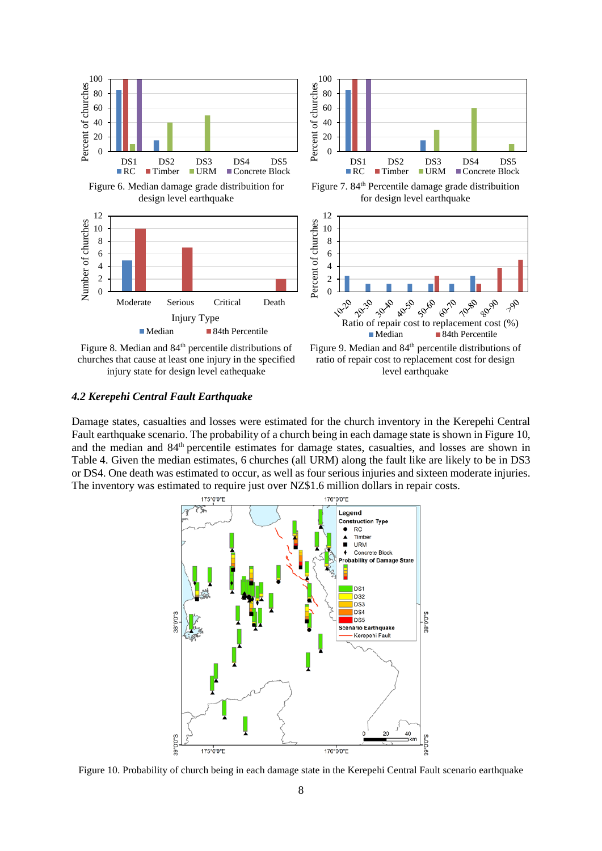

churches that cause at least one injury in the specified injury state for design level eathequake

ratio of repair cost to replacement cost for design level earthquake

## *4.2 Kerepehi Central Fault Earthquake*

Damage states, casualties and losses were estimated for the church inventory in the Kerepehi Central Fault earthquake scenario. The probability of a church being in each damage state is shown in Figure 10, and the median and 84<sup>th</sup> percentile estimates for damage states, casualties, and losses are shown in Table 4. Given the median estimates, 6 churches (all URM) along the fault like are likely to be in DS3 or DS4. One death was estimated to occur, as well as four serious injuries and sixteen moderate injuries. The inventory was estimated to require just over NZ\$1.6 million dollars in repair costs.



Figure 10. Probability of church being in each damage state in the Kerepehi Central Fault scenario earthquake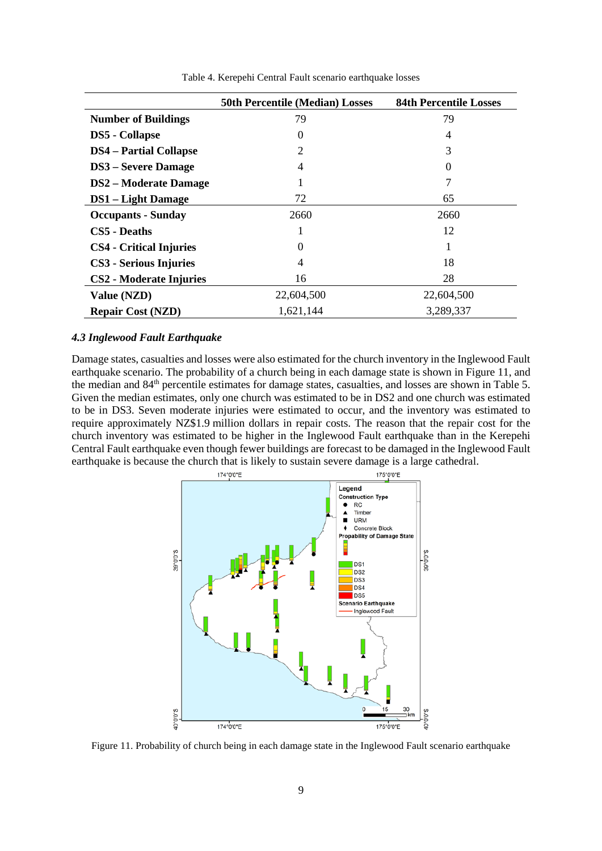|                                | <b>50th Percentile (Median) Losses</b> | <b>84th Percentile Losses</b> |
|--------------------------------|----------------------------------------|-------------------------------|
| <b>Number of Buildings</b>     | 79                                     | 79                            |
| <b>DS5</b> - Collapse          | $\Omega$                               | $\overline{4}$                |
| <b>DS4</b> – Partial Collapse  | 2                                      | 3                             |
| <b>DS3</b> – Severe Damage     | 4                                      | $\Omega$                      |
| <b>DS2</b> – Moderate Damage   |                                        |                               |
| <b>DS1</b> – Light Damage      | 72                                     | 65                            |
| <b>Occupants - Sunday</b>      | 2660                                   | 2660                          |
| <b>CS5</b> - Deaths            |                                        | 12                            |
| <b>CS4</b> - Critical Injuries | 0                                      |                               |
| <b>CS3</b> - Serious Injuries  | 4                                      | 18                            |
| <b>CS2</b> - Moderate Injuries | 16                                     | 28                            |
| Value (NZD)                    | 22,604,500                             | 22,604,500                    |
| <b>Repair Cost (NZD)</b>       | 1,621,144                              | 3,289,337                     |

Table 4. Kerepehi Central Fault scenario earthquake losses

### *4.3 Inglewood Fault Earthquake*

Damage states, casualties and losses were also estimated for the church inventory in the Inglewood Fault earthquake scenario. The probability of a church being in each damage state is shown in Figure 11, and the median and 84th percentile estimates for damage states, casualties, and losses are shown in Table 5. Given the median estimates, only one church was estimated to be in DS2 and one church was estimated to be in DS3. Seven moderate injuries were estimated to occur, and the inventory was estimated to require approximately NZ\$1.9 million dollars in repair costs. The reason that the repair cost for the church inventory was estimated to be higher in the Inglewood Fault earthquake than in the Kerepehi Central Fault earthquake even though fewer buildings are forecast to be damaged in the Inglewood Fault earthquake is because the church that is likely to sustain severe damage is a large cathedral.



Figure 11. Probability of church being in each damage state in the Inglewood Fault scenario earthquake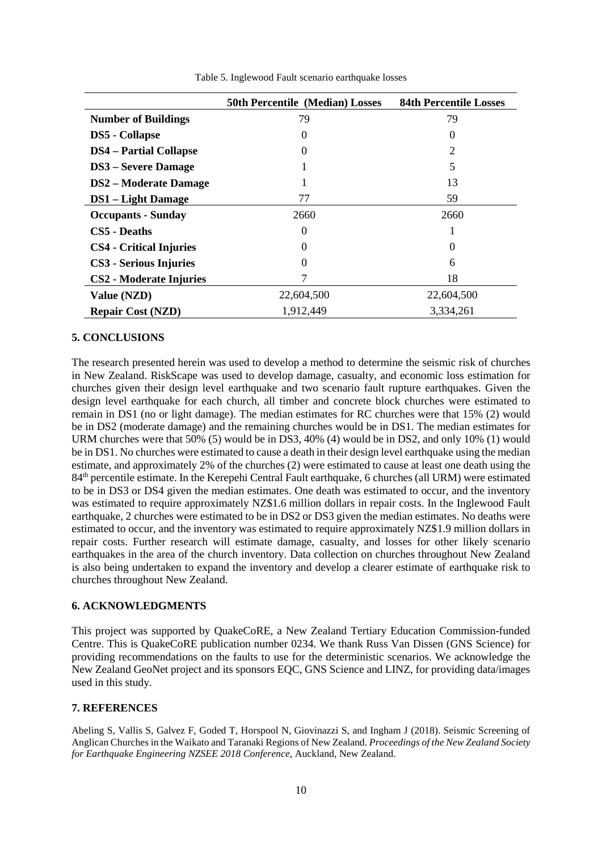|                                | <b>50th Percentile (Median) Losses</b> | <b>84th Percentile Losses</b> |
|--------------------------------|----------------------------------------|-------------------------------|
| <b>Number of Buildings</b>     | 79                                     | 79                            |
| <b>DS5</b> - Collapse          | 0                                      | 0                             |
| <b>DS4</b> – Partial Collapse  | 0                                      | 2                             |
| <b>DS3</b> – Severe Damage     |                                        | 5                             |
| <b>DS2</b> – Moderate Damage   |                                        | 13                            |
| <b>DS1</b> – Light Damage      | 77                                     | 59                            |
| <b>Occupants - Sunday</b>      | 2660                                   | 2660                          |
| CS5 - Deaths                   | 0                                      |                               |
| <b>CS4</b> - Critical Injuries | 0                                      |                               |
| CS3 - Serious Injuries         | 0                                      | 6                             |
| <b>CS2</b> - Moderate Injuries |                                        | 18                            |
| Value (NZD)                    | 22,604,500                             | 22,604,500                    |
| <b>Repair Cost (NZD)</b>       | 1,912,449                              | 3,334,261                     |

Table 5. Inglewood Fault scenario earthquake losses

#### **5. CONCLUSIONS**

The research presented herein was used to develop a method to determine the seismic risk of churches in New Zealand. RiskScape was used to develop damage, casualty, and economic loss estimation for churches given their design level earthquake and two scenario fault rupture earthquakes. Given the design level earthquake for each church, all timber and concrete block churches were estimated to remain in DS1 (no or light damage). The median estimates for RC churches were that 15% (2) would be in DS2 (moderate damage) and the remaining churches would be in DS1. The median estimates for URM churches were that 50% (5) would be in DS3, 40% (4) would be in DS2, and only 10% (1) would be in DS1. No churches were estimated to cause a death in their design level earthquake using the median estimate, and approximately 2% of the churches (2) were estimated to cause at least one death using the 84th percentile estimate. In the Kerepehi Central Fault earthquake, 6 churches (all URM) were estimated to be in DS3 or DS4 given the median estimates. One death was estimated to occur, and the inventory was estimated to require approximately NZ\$1.6 million dollars in repair costs. In the Inglewood Fault earthquake, 2 churches were estimated to be in DS2 or DS3 given the median estimates. No deaths were estimated to occur, and the inventory was estimated to require approximately NZ\$1.9 million dollars in repair costs. Further research will estimate damage, casualty, and losses for other likely scenario earthquakes in the area of the church inventory. Data collection on churches throughout New Zealand is also being undertaken to expand the inventory and develop a clearer estimate of earthquake risk to churches throughout New Zealand.

## **6. ACKNOWLEDGMENTS**

This project was supported by QuakeCoRE, a New Zealand Tertiary Education Commission-funded Centre. This is QuakeCoRE publication number 0234. We thank Russ Van Dissen (GNS Science) for providing recommendations on the faults to use for the deterministic scenarios. We acknowledge the New Zealand GeoNet project and its sponsors EQC, GNS Science and LINZ, for providing data/images used in this study.

#### **7. REFERENCES**

Abeling S, Vallis S, Galvez F, Goded T, Horspool N, Giovinazzi S, and Ingham J (2018). Seismic Screening of Anglican Churches in the Waikato and Taranaki Regions of New Zealand. *Proceedings of the New Zealand Society for Earthquake Engineering NZSEE 2018 Conference*, Auckland, New Zealand.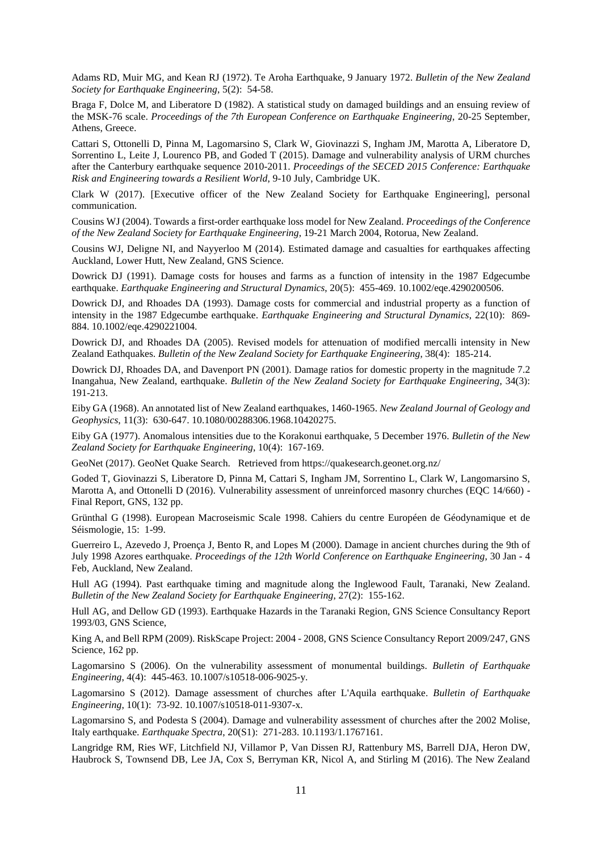Adams RD, Muir MG, and Kean RJ (1972). Te Aroha Earthquake, 9 January 1972. *Bulletin of the New Zealand Society for Earthquake Engineering*, 5(2): 54-58.

Braga F, Dolce M, and Liberatore D (1982). A statistical study on damaged buildings and an ensuing review of the MSK-76 scale. *Proceedings of the 7th European Conference on Earthquake Engineering*, 20-25 September, Athens, Greece.

Cattari S, Ottonelli D, Pinna M, Lagomarsino S, Clark W, Giovinazzi S, Ingham JM, Marotta A, Liberatore D, Sorrentino L, Leite J, Lourenco PB, and Goded T (2015). Damage and vulnerability analysis of URM churches after the Canterbury earthquake sequence 2010-2011. *Proceedings of the SECED 2015 Conference: Earthquake Risk and Engineering towards a Resilient World*, 9-10 July, Cambridge UK.

Clark W (2017). [Executive officer of the New Zealand Society for Earthquake Engineering], personal communication.

Cousins WJ (2004). Towards a first-order earthquake loss model for New Zealand. *Proceedings of the Conference of the New Zealand Society for Earthquake Engineering*, 19-21 March 2004, Rotorua, New Zealand.

Cousins WJ, Deligne NI, and Nayyerloo M (2014). Estimated damage and casualties for earthquakes affecting Auckland, Lower Hutt, New Zealand, GNS Science.

Dowrick DJ (1991). Damage costs for houses and farms as a function of intensity in the 1987 Edgecumbe earthquake. *Earthquake Engineering and Structural Dynamics*, 20(5): 455-469. 10.1002/eqe.4290200506.

Dowrick DJ, and Rhoades DA (1993). Damage costs for commercial and industrial property as a function of intensity in the 1987 Edgecumbe earthquake. *Earthquake Engineering and Structural Dynamics*, 22(10): 869- 884. 10.1002/eqe.4290221004.

Dowrick DJ, and Rhoades DA (2005). Revised models for attenuation of modified mercalli intensity in New Zealand Eathquakes. *Bulletin of the New Zealand Society for Earthquake Engineering*, 38(4): 185-214.

Dowrick DJ, Rhoades DA, and Davenport PN (2001). Damage ratios for domestic property in the magnitude 7.2 Inangahua, New Zealand, earthquake. *Bulletin of the New Zealand Society for Earthquake Engineering*, 34(3): 191-213.

Eiby GA (1968). An annotated list of New Zealand earthquakes, 1460-1965. *New Zealand Journal of Geology and Geophysics*, 11(3): 630-647. 10.1080/00288306.1968.10420275.

Eiby GA (1977). Anomalous intensities due to the Korakonui earthquake, 5 December 1976. *Bulletin of the New Zealand Society for Earthquake Engineering*, 10(4): 167-169.

GeoNet (2017). GeoNet Quake Search. Retrieved from https://quakesearch.geonet.org.nz/

Goded T, Giovinazzi S, Liberatore D, Pinna M, Cattari S, Ingham JM, Sorrentino L, Clark W, Langomarsino S, Marotta A, and Ottonelli D (2016). Vulnerability assessment of unreinforced masonry churches (EQC 14/660) -Final Report, GNS, 132 pp.

Grünthal G (1998). European Macroseismic Scale 1998. Cahiers du centre Européen de Géodynamique et de Séismologie, 15: 1-99.

Guerreiro L, Azevedo J, Proença J, Bento R, and Lopes M (2000). Damage in ancient churches during the 9th of July 1998 Azores earthquake. *Proceedings of the 12th World Conference on Earthquake Engineering*, 30 Jan - 4 Feb, Auckland, New Zealand.

Hull AG (1994). Past earthquake timing and magnitude along the Inglewood Fault, Taranaki, New Zealand. *Bulletin of the New Zealand Society for Earthquake Engineering*, 27(2): 155-162.

Hull AG, and Dellow GD (1993). Earthquake Hazards in the Taranaki Region, GNS Science Consultancy Report 1993/03, GNS Science,

King A, and Bell RPM (2009). RiskScape Project: 2004 - 2008, GNS Science Consultancy Report 2009/247, GNS Science, 162 pp.

Lagomarsino S (2006). On the vulnerability assessment of monumental buildings. *Bulletin of Earthquake Engineering*, 4(4): 445-463. 10.1007/s10518-006-9025-y.

Lagomarsino S (2012). Damage assessment of churches after L'Aquila earthquake. *Bulletin of Earthquake Engineering*, 10(1): 73-92. 10.1007/s10518-011-9307-x.

Lagomarsino S, and Podesta S (2004). Damage and vulnerability assessment of churches after the 2002 Molise, Italy earthquake. *Earthquake Spectra*, 20(S1): 271-283. 10.1193/1.1767161.

Langridge RM, Ries WF, Litchfield NJ, Villamor P, Van Dissen RJ, Rattenbury MS, Barrell DJA, Heron DW, Haubrock S, Townsend DB, Lee JA, Cox S, Berryman KR, Nicol A, and Stirling M (2016). The New Zealand